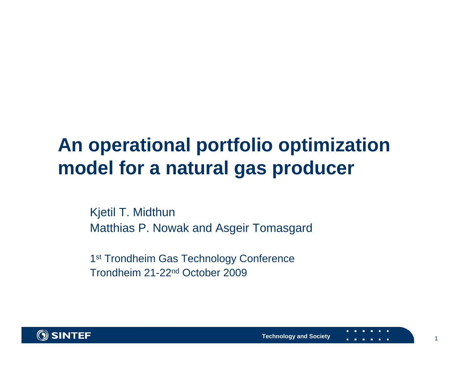#### **An operational portfolio optimization model for a natural gas producer**

Kjetil T. Midthun Matthias P. Nowak and Asgeir Tomasgard

1<sup>st</sup> Trondheim Gas Technology Conference Trondheim 21-22nd October 2009



1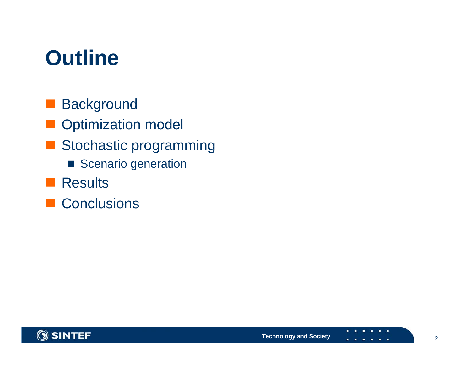### **Outline**

- **Background**
- **Optimization model**
- Stochastic programming
	- Scenario generation
- **Results**
- Conclusions

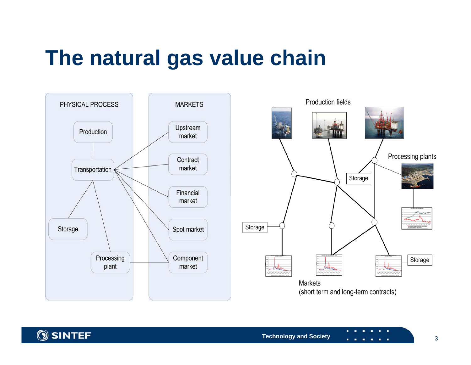## **The natural gas value chain**



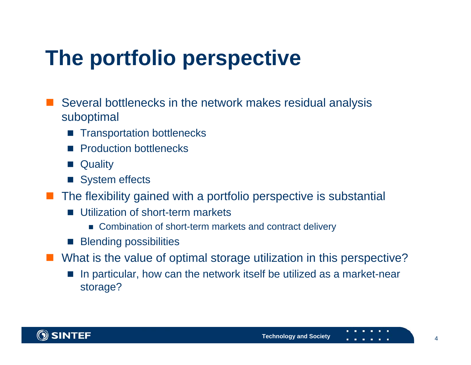# **The portfolio perspective**

- Several bottlenecks in the network makes residual analysis suboptimal
	- Transportation bottlenecks
	- $\mathbb{R}^2$ Production bottlenecks
	- $\mathbb{R}^2$ **Quality**
	- System effects
- The flexibility gained with a portfolio perspective is substantial
	- Utilization of short-term markets
		- Combination of short-term markets and contract delivery
	- **Blending possibilities**
- $\mathbb{R}^3$  What is the value of optimal storage utilization in this perspective?
	- In particular, how can the network itself be utilized as a market-near storage?

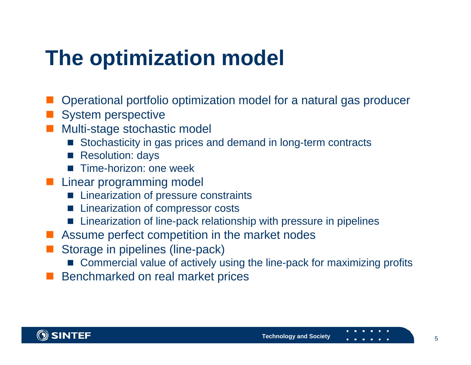## **The optimization model**

- Operational portfolio optimization model for a natural gas producer
- System perspective
- Multi-stage stochastic model
	- Stochasticity in gas prices and demand in long-term contracts
	- Resolution: days
	- Time-horizon: one week
- **Linear programming model** 
	- $\mathbb{R}^2$ Linearization of pressure constraints
	- $\mathbb{R}^2$ Linearization of compressor costs
	- $\mathbb{R}^2$ Linearization of line-pack relationship with pressure in pipelines
- Assume perfect competition in the market nodes
- Storage in pipelines (line-pack)
	- Commercial value of actively using the line-pack for maximizing profits
- Benchmarked on real market prices

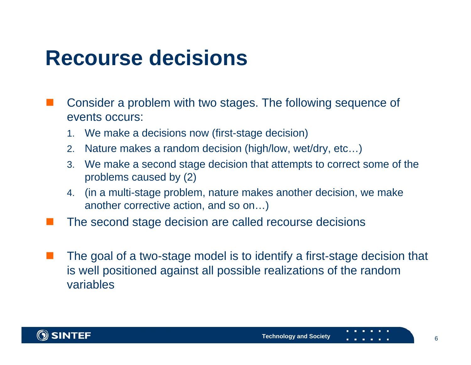#### **Recourse decisions**

- Consider a problem with two stages. The following sequence of events occurs:
	- 1.We make a decisions now (first-stage decision)
	- 2.Nature makes a random decision (high/low, wet/dry, etc…)
	- 3. We make a second stage decision that attempts to correct some of the problems caused by (2)
	- 4. (in a multi-stage problem, nature makes another decision, we make another corrective action, and so on…)
	- The second stage decision are called recourse decisions
	- The goal of a two-stage model is to identify a first-stage decision that is well positioned against all possible realizations of the random variables

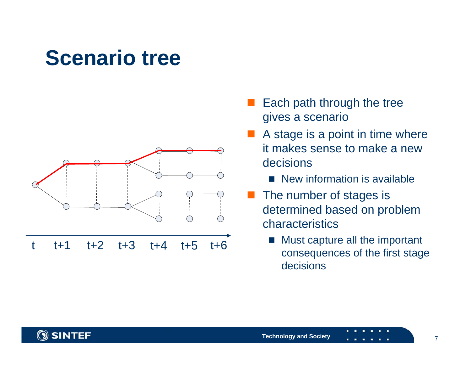#### **Scenario tree**



t $t+1$  t+2 t+3 t+4 $t+5$   $t+6$ 

- Each path through the tree gives a scenario
- A stage is a point in time where it makes sense to make a new decisions
	- New information is available
- The number of stages is determined based on problem characteristics
	- b. Must capture all the important consequences of the first stage decisions

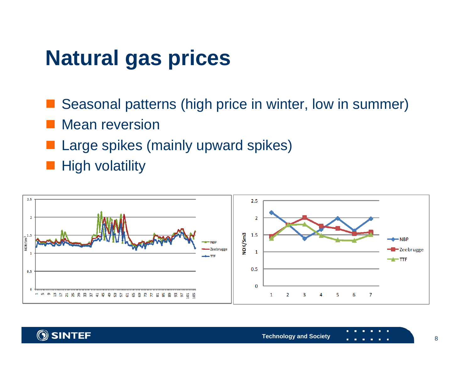### **Natural gas prices**

Seasonal patterns (high price in winter, low in summer)

- Mean reversion
- Large spikes (mainly upward spikes)

**High volatility** 



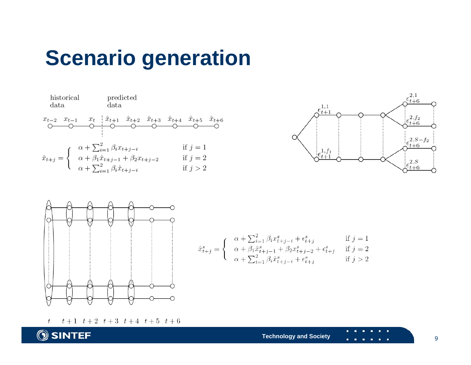#### **Scenario generation**







 $\hat{x}_{t+j}^s = \left\{ \begin{array}{cl} \alpha + \sum_{i=1}^2 \beta_i x_{t+j-i}^s + \epsilon_{t+j}^s & \mbox{if $j=1$}\\ \alpha + \beta_1 \hat{x}_{t+j-1}^s + \beta_2 x_{t+j-2}^s + \epsilon_{t+j}^s & \mbox{if $j=2$}\\ \alpha + \sum_{i=1}^2 \beta_i \hat{x}_{t+j-i}^s + \epsilon_{t+j}^s & \mbox{if $j>2$} \end{array} \right.$ 

 $t+1$   $t+2$   $t+3$   $t+4$   $t+5$   $t+6$  $t$ 

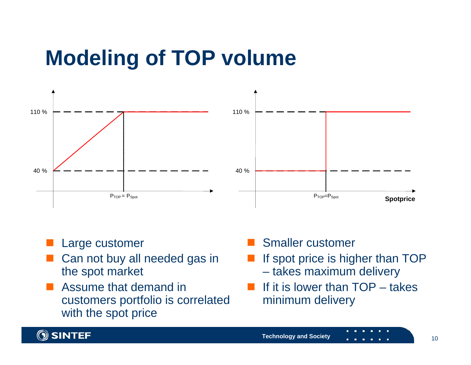# **Modeling of TOP volume**



#### Large customer

- Can not buy all needed gas in the spot market
- Assume that demand in customers portfolio is correlated with the spot price

#### Smaller customer

- **Service Service**  If spot price is higher than TOP takes maximum delivery
- **Service Service**  If it is lower than TOP – takes minimum delivery

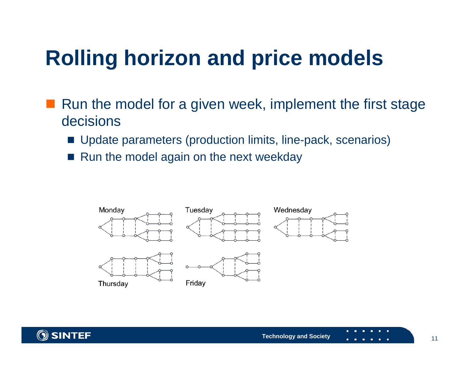# **Rolling horizon and price models**

- Run the model for a given week, implement the first stage decisions
	- Update parameters (production limits, line-pack, scenarios)
	- Run the model again on the next weekday



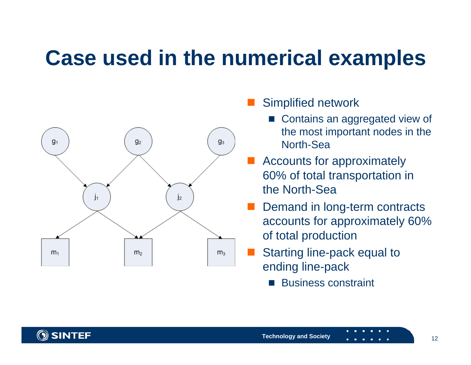## **Case used in the numerical examples**



#### Simplified network

- Contains an aggregated view of the most important nodes in the North-Sea
- Accounts for approximately 60% of total transportation in the North-Sea
- Demand in long-term contracts accounts for approximately 60% of total production
- Starting line-pack equal to ending line-pack
	- b. Business constraint

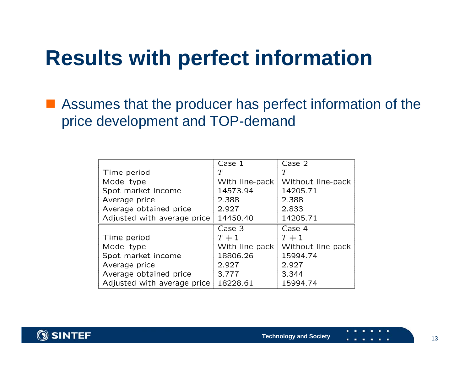#### **Results with perfect information**

■ Assumes that the producer has perfect information of the price development and TOP-demand

|                             | Case 1         | Case 2            |
|-----------------------------|----------------|-------------------|
| Time period                 | $T\,$          | $T\,$             |
| Model type                  | With line-pack | Without line-pack |
| Spot market income          | 14573.94       | 14205.71          |
| Average price               | 2.388          | 2.388             |
| Average obtained price      | 2.927          | 2.833             |
| Adjusted with average price | 14450.40       | 14205.71          |
|                             | Case 3         | Case 4            |
| Time period                 | $T+1$          | $T+1$             |
| Model type                  | With line-pack | Without line-pack |
| Spot market income          | 18806.26       | 15994.74          |
| Average price               | 2.927          | 2.927             |
| Average obtained price      | 3.777          | 3.344             |
|                             |                |                   |

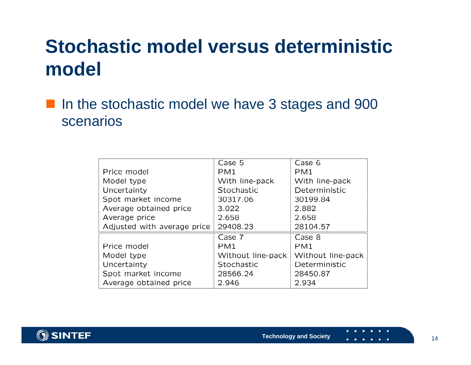#### **Stochastic model versus deterministic model**

H. In the stochastic model we have 3 stages and 900 scenarios

|                             | Case 5            | Case 6            |
|-----------------------------|-------------------|-------------------|
| Price model                 | PM <sub>1</sub>   | PM <sub>1</sub>   |
| Model type                  | With line-pack    | With line-pack    |
| Uncertainty                 | Stochastic        | Deterministic     |
| Spot market income          | 30317.06          | 30199.84          |
| Average obtained price      | 3.022             | 2.882             |
| Average price               | 2.658             | 2.658             |
| Adjusted with average price | 29408.23          | 28104.57          |
|                             | Case 7            | Case 8            |
| Price model                 | PM <sub>1</sub>   | PM <sub>1</sub>   |
| Model type                  | Without line-pack | Without line-pack |
| Uncertainty                 | Stochastic        | Deterministic     |
| Spot market income          | 28566.24          | 28450.87          |
| Average obtained price      | 2.946             | 2.934             |